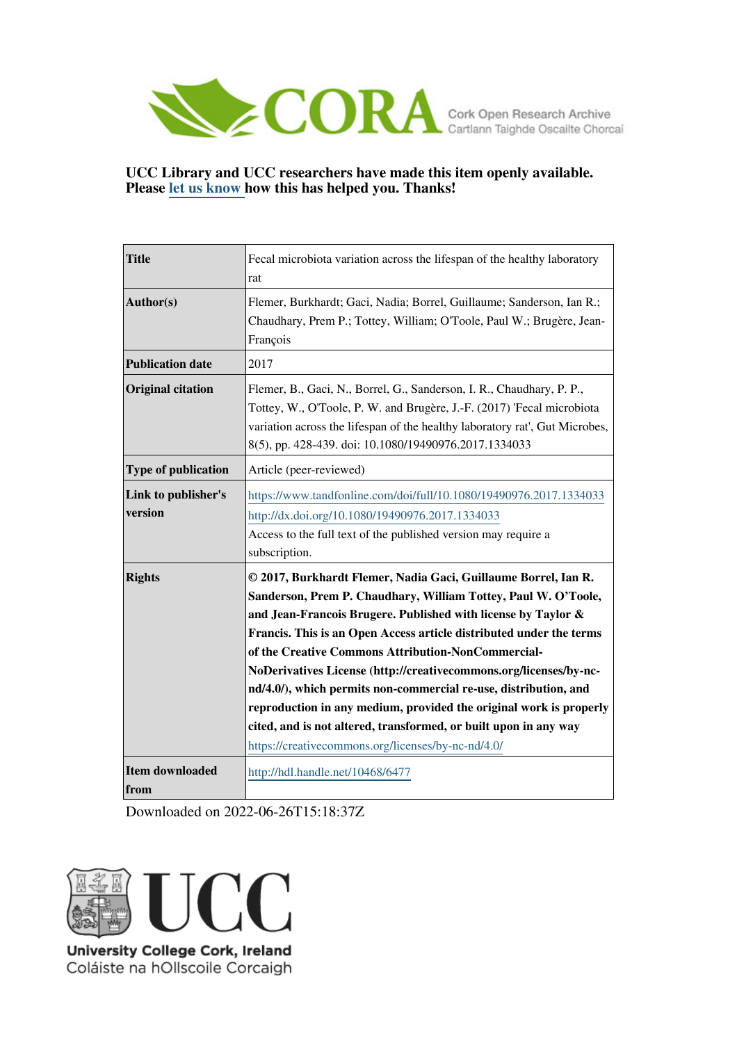

## **UCC Library and UCC researchers have made this item openly available. Please [let us know h](https://libguides.ucc.ie/openaccess/impact?suffix=6477&title=Fecal microbiota variation across the lifespan of the healthy laboratory rat)ow this has helped you. Thanks!**

| <b>Title</b>                   | Fecal microbiota variation across the lifespan of the healthy laboratory<br>rat                                                                                                                                                                                                                                                                                                                                                                                                                                                                                                                                                                                         |
|--------------------------------|-------------------------------------------------------------------------------------------------------------------------------------------------------------------------------------------------------------------------------------------------------------------------------------------------------------------------------------------------------------------------------------------------------------------------------------------------------------------------------------------------------------------------------------------------------------------------------------------------------------------------------------------------------------------------|
| Author(s)                      | Flemer, Burkhardt; Gaci, Nadia; Borrel, Guillaume; Sanderson, Ian R.;<br>Chaudhary, Prem P.; Tottey, William; O'Toole, Paul W.; Brugère, Jean-<br>François                                                                                                                                                                                                                                                                                                                                                                                                                                                                                                              |
| <b>Publication date</b>        | 2017                                                                                                                                                                                                                                                                                                                                                                                                                                                                                                                                                                                                                                                                    |
| <b>Original citation</b>       | Flemer, B., Gaci, N., Borrel, G., Sanderson, I. R., Chaudhary, P. P.,<br>Tottey, W., O'Toole, P. W. and Brugère, J.-F. (2017) 'Fecal microbiota<br>variation across the lifespan of the healthy laboratory rat', Gut Microbes,<br>8(5), pp. 428-439. doi: 10.1080/19490976.2017.1334033                                                                                                                                                                                                                                                                                                                                                                                 |
| <b>Type of publication</b>     | Article (peer-reviewed)                                                                                                                                                                                                                                                                                                                                                                                                                                                                                                                                                                                                                                                 |
| Link to publisher's<br>version | https://www.tandfonline.com/doi/full/10.1080/19490976.2017.1334033<br>http://dx.doi.org/10.1080/19490976.2017.1334033<br>Access to the full text of the published version may require a<br>subscription.                                                                                                                                                                                                                                                                                                                                                                                                                                                                |
| <b>Rights</b>                  | © 2017, Burkhardt Flemer, Nadia Gaci, Guillaume Borrel, Ian R.<br>Sanderson, Prem P. Chaudhary, William Tottey, Paul W. O'Toole,<br>and Jean-Francois Brugere. Published with license by Taylor &<br>Francis. This is an Open Access article distributed under the terms<br>of the Creative Commons Attribution-NonCommercial-<br>NoDerivatives License (http://creativecommons.org/licenses/by-nc-<br>nd/4.0/), which permits non-commercial re-use, distribution, and<br>reproduction in any medium, provided the original work is properly<br>cited, and is not altered, transformed, or built upon in any way<br>https://creativecommons.org/licenses/by-nc-nd/4.0/ |
| <b>Item downloaded</b><br>from | http://hdl.handle.net/10468/6477                                                                                                                                                                                                                                                                                                                                                                                                                                                                                                                                                                                                                                        |

Downloaded on 2022-06-26T15:18:37Z



Coláiste na hOllscoile Corcaigh